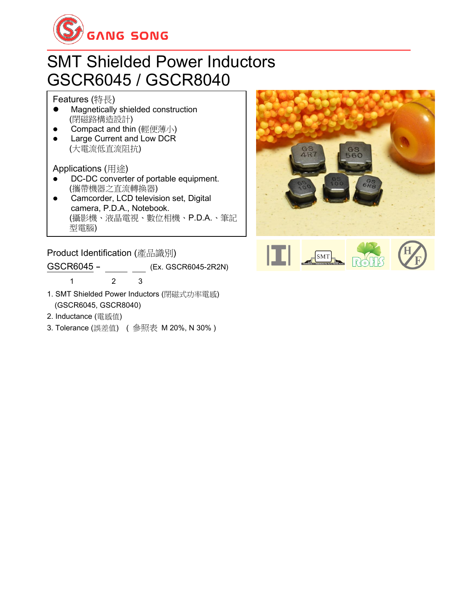

### SMT Shielded Power Inductors GSCR6045 / GSCR8040

Features (特長)

- ⚫ Magnetically shielded construction (閉磁路構造設計)
- Compact and thin (輕便薄小)
- Large Current and Low DCR (大電流低直流阻抗)

Applications (用途)

- DC-DC converter of portable equipment. (攜帶機器之直流轉換器)
- ⚫ Camcorder, LCD television set, Digital camera, P.D.A., Notebook. (攝影機、液晶電視、數位相機、P.D.A.、筆記 型電腦) ⚫ Small size communication equipment.

**Product Identification (**產品識別)

| GSCR6045- |  | (Ex. GSCR6045-2R2N) |
|-----------|--|---------------------|
|           |  |                     |

- 1. SMT Shielded Power Inductors (閉磁式功率電感) (GSCR6045, GSCR8040)
- 2. Inductance (電感值)
- 3. Tolerance (誤差值) ( 參照表 M 20%, N 30% )

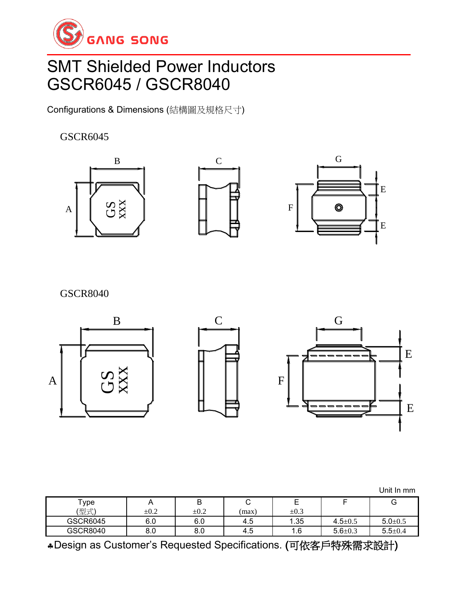

## SMT Shielded Power Inductors GSCR6045 / GSCR8040

Configurations & Dimensions (結構圖及規格尺寸)

#### GSCR6045







GSCR8040



| $\mathsf{^{T}ype}$ |           | ◡         |      | <u>.</u>  | -             | G           |
|--------------------|-----------|-----------|------|-----------|---------------|-------------|
| '型式)               | $\pm 0.2$ | $\pm 0.2$ | max) | $\pm 0.3$ |               |             |
| GSCR6045           | 6.0       | 6.0       | 4.5  | 1.35      | $4.5 \pm 0.5$ | $5.0 + 0.5$ |
| GSCR8040           | o.u       | o.u       | 4.5  | 1.6       | $5.6 \pm 0.3$ | $5.5 + 0.4$ |

Design as Customer's Requested Specifications. (可依客戶特殊需求設計)